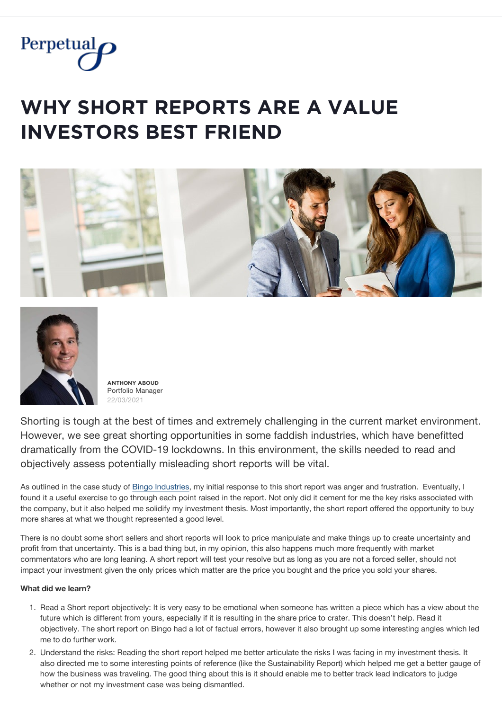

## **WHY SHORT REPORTS ARE A VALUE INVESTORS BEST FRIEND**





 $\overline{A}$ **NTHONY ABOUD** Portfolio Manager 22/03/2021

Shorting is tough at the best of times and extremely challenging in the current market environment. However, we see great shorting opportunities in some faddish industries, which have benefitted dramatically from the COVID-19 lockdowns. In this environment, the skills needed to read and objectively assess potentially misleading short reports will be vital.

As outlined in the case study of [Bingo Industries](https://www.perpetual.com.au/insights/bingo-caller-why-im-rethinking-short-reports), my initial response to this short report was anger and frustration. Eventually, I found it a useful exercise to go through each point raised in the report. Not only did it cement for me the key risks associated with the company, but it also helped me solidify my investment thesis. Most importantly, the short report offered the opportunity to buy more shares at what we thought represented a good level.

There is no doubt some short sellers and short reports will look to price manipulate and make things up to create uncertainty and profit from that uncertainty. This is a bad thing but, in my opinion, this also happens much more frequently with market commentators who are long leaning. A short report will test your resolve but as long as you are not a forced seller, should not impact your investment given the only prices which matter are the price you bought and the price you sold your shares.

## **What did we learn?**

- 1. Read a Short report objectively: It is very easy to be emotional when someone has written a piece which has a view about the future which is different from yours, especially if it is resulting in the share price to crater. This doesn't help. Read it objectively. The short report on Bingo had a lot of factual errors, however it also brought up some interesting angles which led me to do further work.
- 2. Understand the risks: Reading the short report helped me better articulate the risks I was facing in my investment thesis. It also directed me to some interesting points of reference (like the Sustainability Report) which helped me get a better gauge of how the business was traveling. The good thing about this is it should enable me to better track lead indicators to judge whether or not my investment case was being dismantled.